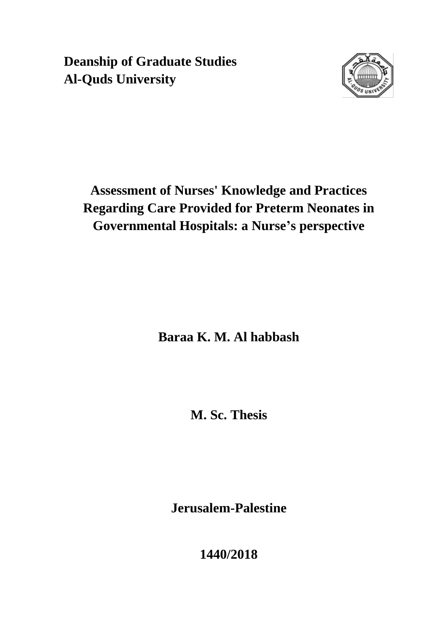**Deanship of Graduate Studies Al-Quds University**



# **Assessment of Nurses' Knowledge and Practices Regarding Care Provided for Preterm Neonates in Governmental Hospitals: a Nurse's perspective**

**Baraa K. M. Al habbash**

**M. Sc. Thesis**

**Jerusalem-Palestine**

**1440/2018**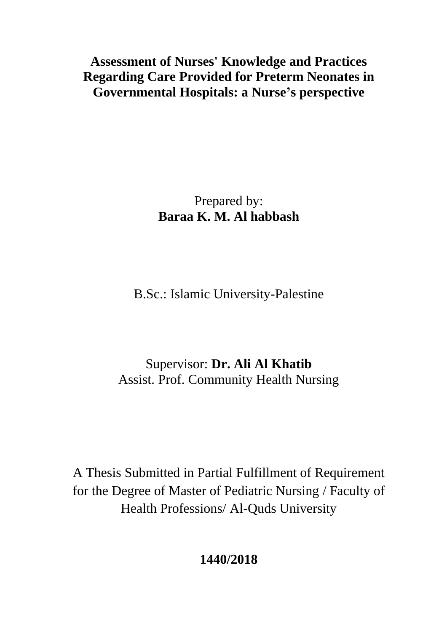**Assessment of Nurses' Knowledge and Practices Regarding Care Provided for Preterm Neonates in Governmental Hospitals: a Nurse's perspective**

> Prepared by: **Baraa K. M. Al habbash**

B.Sc.: Islamic University-Palestine

Supervisor: **Dr. Ali Al Khatib** Assist. Prof. Community Health Nursing

A Thesis Submitted in Partial Fulfillment of Requirement for the Degree of Master of Pediatric Nursing / Faculty of Health Professions/ Al-Quds University

**1440/2018**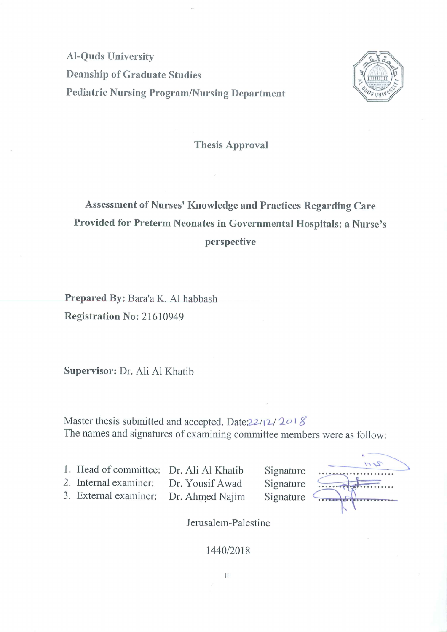**Al-Quds University Deanship of Graduate Studies Pediatric Nursing Program/Nursing Department** 



**Thesis Approval** 

# Assessment of Nurses' Knowledge and Practices Regarding Care Provided for Preterm Neonates in Governmental Hospitals: a Nurse's perspective

Prepared By: Bara'a K. Al habbash **Registration No: 21610949** 

Supervisor: Dr. Ali Al Khatib

Master thesis submitted and accepted. Date: $22/12/2018$ The names and signatures of examining committee members were as follow:

1. Head of committee: Dr. Ali Al Khatib 2. Internal examiner:

Dr. Yousif Awad

3. External examiner:

Dr. Ahmed Najim

Signature Signature Signature

 $\sigma$ 

Jerusalem-Palestine

#### 1440/2018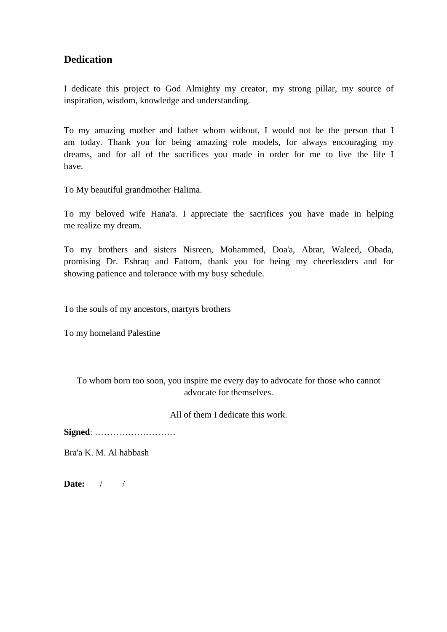## **Dedication**

I dedicate this project to God Almighty my creator, my strong pillar, my source of inspiration, wisdom, knowledge and understanding.

To my amazing mother and father whom without, I would not be the person that I am today. Thank you for being amazing role models, for always encouraging my dreams, and for all of the sacrifices you made in order for me to live the life I have.

To My beautiful grandmother Halima.

To my beloved wife Hana'a. I appreciate the sacrifices you have made in helping me realize my dream.

To my brothers and sisters Nisreen, Mohammed, Doa'a, Abrar, Waleed, Obada, promising Dr. Eshraq and Fattom, thank you for being my cheerleaders and for showing patience and tolerance with my busy schedule.

To the souls of my ancestors, martyrs brothers

To my homeland Palestine

To whom born too soon, you inspire me every day to advocate for those who cannot advocate for themselves.

All of them I dedicate this work.

**Signed**: ………………………

Bra'a K. M. Al habbash

**Date:** / /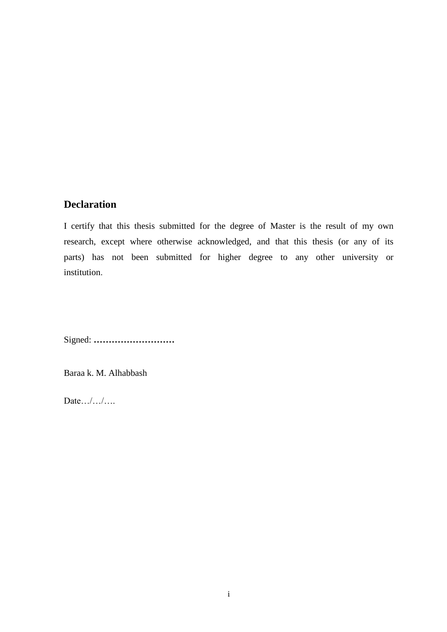## **Declaration**

I certify that this thesis submitted for the degree of Master is the result of my own research, except where otherwise acknowledged, and that this thesis (or any of its parts) has not been submitted for higher degree to any other university or institution.

Signed: **………………………** 

Baraa k. M. Alhabbash

Date… $/$ … $/$ ….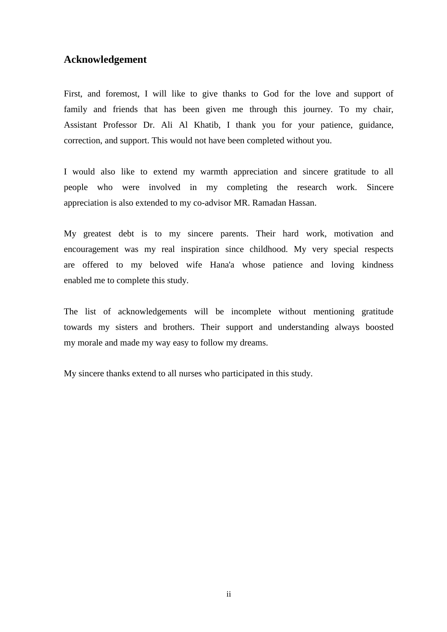### **Acknowledgement**

First, and foremost, I will like to give thanks to God for the love and support of family and friends that has been given me through this journey. To my chair, Assistant Professor Dr. Ali Al Khatib, I thank you for your patience, guidance, correction, and support. This would not have been completed without you.

I would also like to extend my warmth appreciation and sincere gratitude to all people who were involved in my completing the research work. Sincere appreciation is also extended to my co-advisor MR. Ramadan Hassan.

My greatest debt is to my sincere parents. Their hard work, motivation and encouragement was my real inspiration since childhood. My very special respects are offered to my beloved wife Hana'a whose patience and loving kindness enabled me to complete this study.

The list of acknowledgements will be incomplete without mentioning gratitude towards my sisters and brothers. Their support and understanding always boosted my morale and made my way easy to follow my dreams.

My sincere thanks extend to all nurses who participated in this study.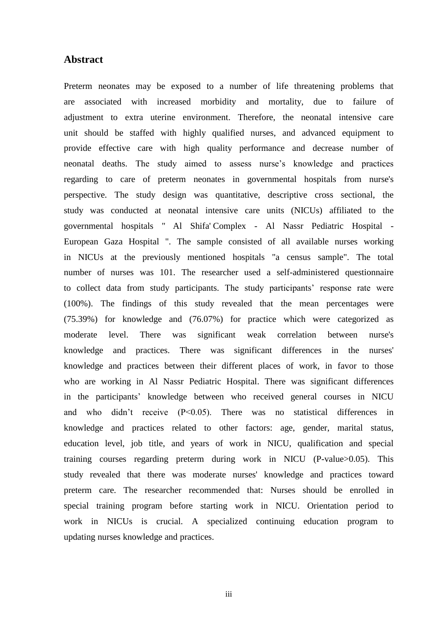#### **Abstract**

Preterm neonates may be exposed to a number of life threatening problems that are associated with increased morbidity and mortality, due to failure of adjustment to extra uterine environment. Therefore, the neonatal intensive care unit should be staffed with highly qualified nurses, and advanced equipment to provide effective care with high quality performance and decrease number of neonatal deaths. The study aimed to assess nurse"s knowledge and practices regarding to care of preterm neonates in governmental hospitals from nurse's perspective. The study design was quantitative, descriptive cross sectional, the study was conducted at neonatal intensive care units (NICUs) affiliated to the governmental hospitals " Al Shifa' Complex - Al Nassr Pediatric Hospital - European Gaza Hospital ". The sample consisted of all available nurses working in NICUs at the previously mentioned hospitals "a census sample". The total number of nurses was 101. The researcher used a self-administered questionnaire to collect data from study participants. The study participants' response rate were (100%). The findings of this study revealed that the mean percentages were (75.39%) for knowledge and (76.07%) for practice which were categorized as moderate level. There was significant weak correlation between nurse's knowledge and practices. There was significant differences in the nurses' knowledge and practices between their different places of work, in favor to those who are working in Al Nassr Pediatric Hospital. There was significant differences in the participants" knowledge between who received general courses in NICU and who didn't receive  $(P<0.05)$ . There was no statistical differences in knowledge and practices related to other factors: age, gender, marital status, education level, job title, and years of work in NICU, qualification and special training courses regarding preterm during work in NICU (P-value>0.05). This study revealed that there was moderate nurses' knowledge and practices toward preterm care. The researcher recommended that: Nurses should be enrolled in special training program before starting work in NICU. Orientation period to work in NICUs is crucial. A specialized continuing education program to updating nurses knowledge and practices.

iii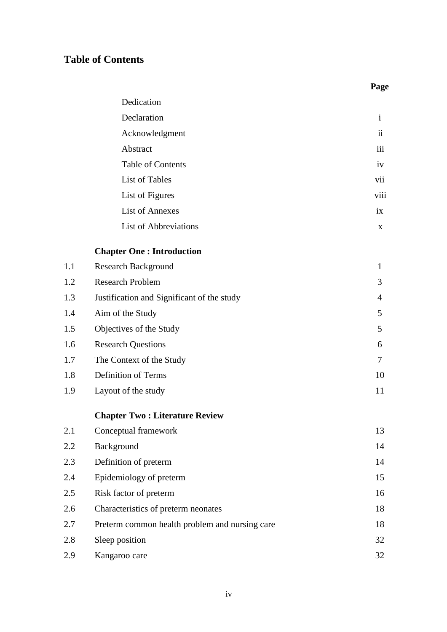# **Table of Contents**

### **Page**

| Dedication               |                     |
|--------------------------|---------------------|
| Declaration              | $\mathbf{i}$        |
| Acknowledgment           | $\ddot{\mathbf{i}}$ |
| Abstract                 | iii                 |
| <b>Table of Contents</b> | iv                  |
| List of Tables           | vii                 |
| List of Figures          | viii                |
| <b>List of Annexes</b>   | $\overline{1}X$     |
| List of Abbreviations    | X                   |

## **Chapter One : Introduction**

| 1.1 | <b>Research Background</b>                     | $\mathbf{1}$ |
|-----|------------------------------------------------|--------------|
| 1.2 | <b>Research Problem</b>                        | 3            |
| 1.3 | Justification and Significant of the study     | 4            |
| 1.4 | Aim of the Study                               | 5            |
| 1.5 | Objectives of the Study                        | 5            |
| 1.6 | <b>Research Questions</b>                      | 6            |
| 1.7 | The Context of the Study                       | $\tau$       |
| 1.8 | Definition of Terms                            | 10           |
| 1.9 | Layout of the study                            | 11           |
|     | <b>Chapter Two: Literature Review</b>          |              |
| 2.1 | Conceptual framework                           | 13           |
| 2.2 | Background                                     | 14           |
| 2.3 | Definition of preterm                          | 14           |
| 2.4 | Epidemiology of preterm                        | 15           |
| 2.5 | Risk factor of preterm                         | 16           |
| 2.6 | Characteristics of preterm neonates            | 18           |
| 2.7 | Preterm common health problem and nursing care | 18           |
| 2.8 | Sleep position                                 | 32           |
|     |                                                |              |

2.9 Kangaroo care 32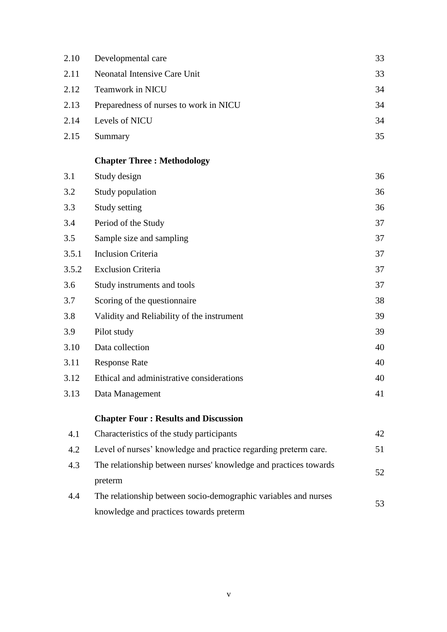| 2.10  | Developmental care                                               | 33 |
|-------|------------------------------------------------------------------|----|
| 2.11  | <b>Neonatal Intensive Care Unit</b>                              | 33 |
| 2.12  | Teamwork in NICU                                                 | 34 |
| 2.13  | Preparedness of nurses to work in NICU                           | 34 |
| 2.14  | Levels of NICU                                                   | 34 |
| 2.15  | Summary                                                          | 35 |
|       | <b>Chapter Three: Methodology</b>                                |    |
| 3.1   | Study design                                                     | 36 |
| 3.2   | Study population                                                 | 36 |
| 3.3   | Study setting                                                    | 36 |
| 3.4   | Period of the Study                                              | 37 |
| 3.5   | Sample size and sampling                                         | 37 |
| 3.5.1 | <b>Inclusion Criteria</b>                                        | 37 |
| 3.5.2 | <b>Exclusion Criteria</b>                                        | 37 |
| 3.6   | Study instruments and tools                                      | 37 |
| 3.7   | Scoring of the questionnaire                                     | 38 |
| 3.8   | Validity and Reliability of the instrument                       | 39 |
| 3.9   | Pilot study                                                      | 39 |
| 3.10  | Data collection                                                  | 40 |
| 3.11  | <b>Response Rate</b>                                             | 40 |
| 3.12  | Ethical and administrative considerations                        | 40 |
| 3.13  | Data Management                                                  | 41 |
|       | <b>Chapter Four: Results and Discussion</b>                      |    |
| 4.1   | Characteristics of the study participants                        | 42 |
| 4.2   | Level of nurses' knowledge and practice regarding preterm care.  | 51 |
| 4.3   | The relationship between nurses' knowledge and practices towards | 52 |
|       | preterm                                                          |    |
| 4.4   | The relationship between socio-demographic variables and nurses  | 53 |
|       | knowledge and practices towards preterm                          |    |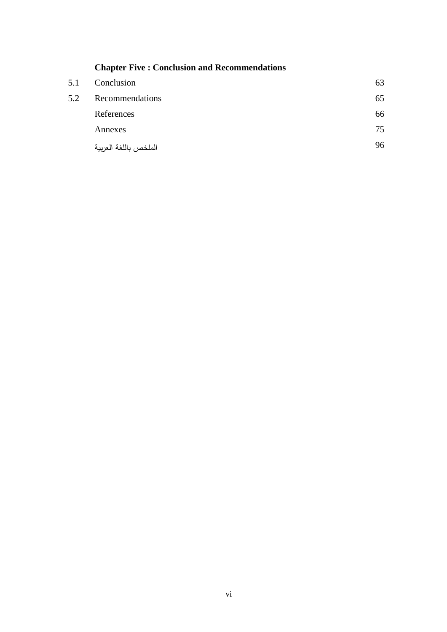|     | <b>Chapter Five: Conclusion and Recommendations</b> |    |
|-----|-----------------------------------------------------|----|
| 5.1 | Conclusion                                          | 63 |
| 5.2 | Recommendations                                     | 65 |
|     | References                                          | 66 |
|     | Annexes                                             | 75 |
|     | الملخص باللغة العربية                               | 96 |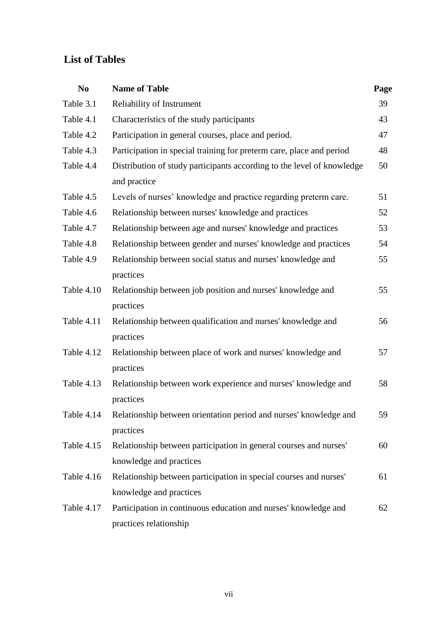# **List of Tables**

| N <sub>0</sub> | <b>Name of Table</b>                                                                         | Page |
|----------------|----------------------------------------------------------------------------------------------|------|
| Table 3.1      | Reliability of Instrument                                                                    | 39   |
| Table 4.1      | Characteristics of the study participants                                                    | 43   |
| Table 4.2      | Participation in general courses, place and period.                                          | 47   |
| Table 4.3      | Participation in special training for preterm care, place and period                         | 48   |
| Table 4.4      | Distribution of study participants according to the level of knowledge<br>and practice       | 50   |
| Table 4.5      | Levels of nurses' knowledge and practice regarding preterm care.                             | 51   |
| Table 4.6      | Relationship between nurses' knowledge and practices                                         | 52   |
| Table 4.7      | Relationship between age and nurses' knowledge and practices                                 | 53   |
| Table 4.8      | Relationship between gender and nurses' knowledge and practices                              | 54   |
| Table 4.9      | Relationship between social status and nurses' knowledge and<br>practices                    | 55   |
| Table 4.10     | Relationship between job position and nurses' knowledge and<br>practices                     | 55   |
| Table 4.11     | Relationship between qualification and nurses' knowledge and<br>practices                    | 56   |
| Table 4.12     | Relationship between place of work and nurses' knowledge and<br>practices                    | 57   |
| Table 4.13     | Relationship between work experience and nurses' knowledge and<br>practices                  | 58   |
| Table 4.14     | Relationship between orientation period and nurses' knowledge and<br>practices               | 59   |
| Table 4.15     | Relationship between participation in general courses and nurses'<br>knowledge and practices | 60   |
| Table 4.16     | Relationship between participation in special courses and nurses'                            | 61   |
|                | knowledge and practices                                                                      |      |
| Table 4.17     | Participation in continuous education and nurses' knowledge and<br>practices relationship    | 62   |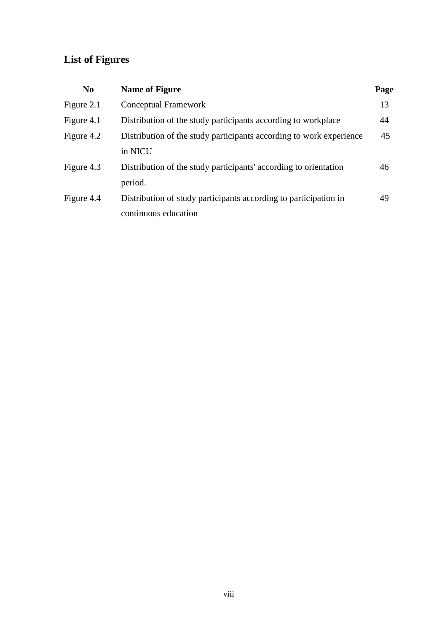# **List of Figures**

| N <sub>0</sub> | <b>Name of Figure</b>                                               | Page |
|----------------|---------------------------------------------------------------------|------|
| Figure 2.1     | Conceptual Framework                                                | 13   |
| Figure 4.1     | Distribution of the study participants according to workplace       | 44   |
| Figure 4.2     | Distribution of the study participants according to work experience | 45   |
|                | in NICU                                                             |      |
| Figure 4.3     | Distribution of the study participants' according to orientation    | 46   |
|                | period.                                                             |      |
| Figure 4.4     | Distribution of study participants according to participation in    | 49   |
|                | continuous education                                                |      |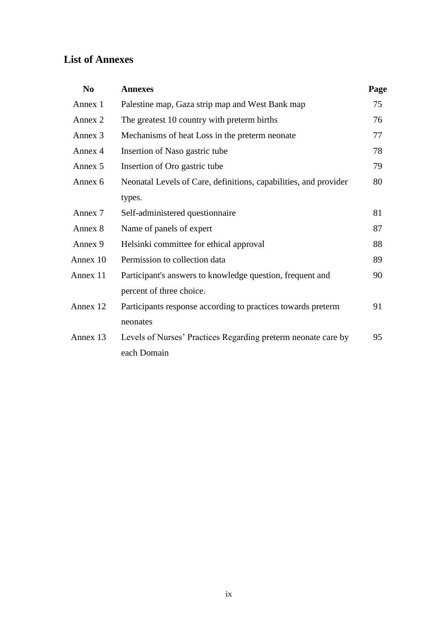# **List of Annexes**

| N <sub>0</sub> | <b>Annexes</b>                                                   | Page |
|----------------|------------------------------------------------------------------|------|
| Annex 1        | Palestine map, Gaza strip map and West Bank map                  | 75   |
| Annex 2        | The greatest 10 country with preterm births                      | 76   |
| Annex 3        | Mechanisms of heat Loss in the preterm neonate                   | 77   |
| Annex 4        | Insertion of Naso gastric tube                                   | 78   |
| Annex 5        | Insertion of Oro gastric tube                                    | 79   |
| Annex 6        | Neonatal Levels of Care, definitions, capabilities, and provider | 80   |
|                | types.                                                           |      |
| Annex 7        | Self-administered questionnaire                                  | 81   |
| Annex 8        | Name of panels of expert                                         | 87   |
| Annex 9        | Helsinki committee for ethical approval                          | 88   |
| Annex 10       | Permission to collection data                                    | 89   |
| Annex 11       | Participant's answers to knowledge question, frequent and        | 90   |
|                | percent of three choice.                                         |      |
| Annex 12       | Participants response according to practices towards preterm     | 91   |
|                | neonates                                                         |      |
| Annex 13       | Levels of Nurses' Practices Regarding preterm neonate care by    | 95   |
|                | each Domain                                                      |      |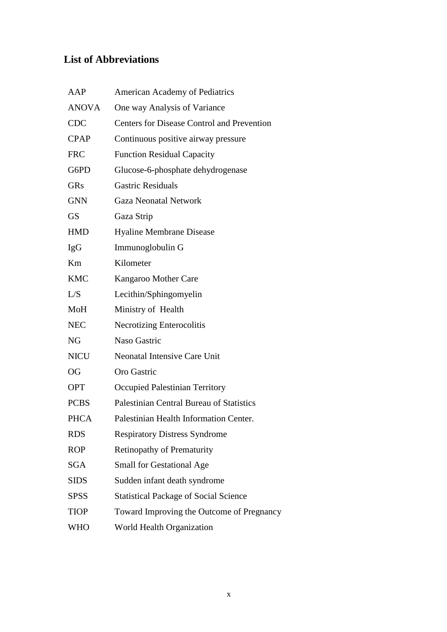# **List of Abbreviations**

| AAP          | <b>American Academy of Pediatrics</b>             |
|--------------|---------------------------------------------------|
| <b>ANOVA</b> | One way Analysis of Variance                      |
| <b>CDC</b>   | <b>Centers for Disease Control and Prevention</b> |
| <b>CPAP</b>  | Continuous positive airway pressure               |
| <b>FRC</b>   | <b>Function Residual Capacity</b>                 |
| G6PD         | Glucose-6-phosphate dehydrogenase                 |
| <b>GRs</b>   | <b>Gastric Residuals</b>                          |
| <b>GNN</b>   | <b>Gaza Neonatal Network</b>                      |
| <b>GS</b>    | Gaza Strip                                        |
| <b>HMD</b>   | Hyaline Membrane Disease                          |
| <b>IgG</b>   | Immunoglobulin G                                  |
| Km           | Kilometer                                         |
| <b>KMC</b>   | Kangaroo Mother Care                              |
| L/S          | Lecithin/Sphingomyelin                            |
| MoH          | Ministry of Health                                |
| <b>NEC</b>   | Necrotizing Enterocolitis                         |
| <b>NG</b>    | Naso Gastric                                      |
| <b>NICU</b>  | <b>Neonatal Intensive Care Unit</b>               |
| <b>OG</b>    | Oro Gastric                                       |
| <b>OPT</b>   | Occupied Palestinian Territory                    |
| <b>PCBS</b>  | Palestinian Central Bureau of Statistics          |
| <b>PHCA</b>  | Palestinian Health Information Center.            |
| <b>RDS</b>   | <b>Respiratory Distress Syndrome</b>              |
| <b>ROP</b>   | <b>Retinopathy of Prematurity</b>                 |
| <b>SGA</b>   | <b>Small for Gestational Age</b>                  |
| <b>SIDS</b>  | Sudden infant death syndrome                      |
| <b>SPSS</b>  | <b>Statistical Package of Social Science</b>      |
| <b>TIOP</b>  | Toward Improving the Outcome of Pregnancy         |
| WHO          | World Health Organization                         |